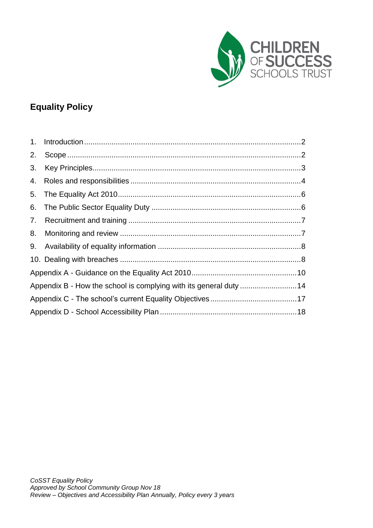

# **Equality Policy**

| 2. |                                                                   |  |  |  |  |
|----|-------------------------------------------------------------------|--|--|--|--|
| 3. |                                                                   |  |  |  |  |
|    |                                                                   |  |  |  |  |
|    |                                                                   |  |  |  |  |
|    |                                                                   |  |  |  |  |
|    |                                                                   |  |  |  |  |
| 8. |                                                                   |  |  |  |  |
|    |                                                                   |  |  |  |  |
|    |                                                                   |  |  |  |  |
|    |                                                                   |  |  |  |  |
|    | Appendix B - How the school is complying with its general duty 14 |  |  |  |  |
|    |                                                                   |  |  |  |  |
|    |                                                                   |  |  |  |  |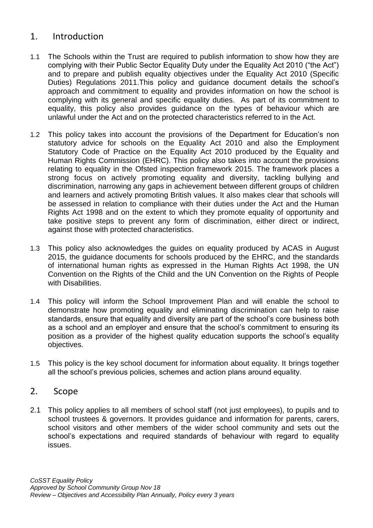### <span id="page-1-0"></span>1. Introduction

- 1.1 The Schools within the Trust are required to publish information to show how they are complying with their Public Sector Equality Duty under the Equality Act 2010 ("the Act") and to prepare and publish equality objectives under the Equality Act 2010 (Specific Duties) Regulations 2011.This policy and guidance document details the school's approach and commitment to equality and provides information on how the school is complying with its general and specific equality duties. As part of its commitment to equality, this policy also provides guidance on the types of behaviour which are unlawful under the Act and on the protected characteristics referred to in the Act.
- 1.2 This policy takes into account the provisions of the Department for Education's non statutory advice for schools on the Equality Act 2010 and also the Employment Statutory Code of Practice on the Equality Act 2010 produced by the Equality and Human Rights Commission (EHRC). This policy also takes into account the provisions relating to equality in the Ofsted inspection framework 2015. The framework places a strong focus on actively promoting equality and diversity, tackling bullying and discrimination, narrowing any gaps in achievement between different groups of children and learners and actively promoting British values. It also makes clear that schools will be assessed in relation to compliance with their duties under the Act and the Human Rights Act 1998 and on the extent to which they promote equality of opportunity and take positive steps to prevent any form of discrimination, either direct or indirect, against those with protected characteristics.
- 1.3 This policy also acknowledges the guides on equality produced by ACAS in August 2015, the guidance documents for schools produced by the EHRC, and the standards of international human rights as expressed in the Human Rights Act 1998, the UN Convention on the Rights of the Child and the UN Convention on the Rights of People with Disabilities.
- 1.4 This policy will inform the School Improvement Plan and will enable the school to demonstrate how promoting equality and eliminating discrimination can help to raise standards, ensure that equality and diversity are part of the school's core business both as a school and an employer and ensure that the school's commitment to ensuring its position as a provider of the highest quality education supports the school's equality objectives.
- 1.5 This policy is the key school document for information about equality. It brings together all the school's previous policies, schemes and action plans around equality.

## <span id="page-1-1"></span>2. Scope

2.1 This policy applies to all members of school staff (not just employees), to pupils and to school trustees & governors. It provides guidance and information for parents, carers, school visitors and other members of the wider school community and sets out the school's expectations and required standards of behaviour with regard to equality issues.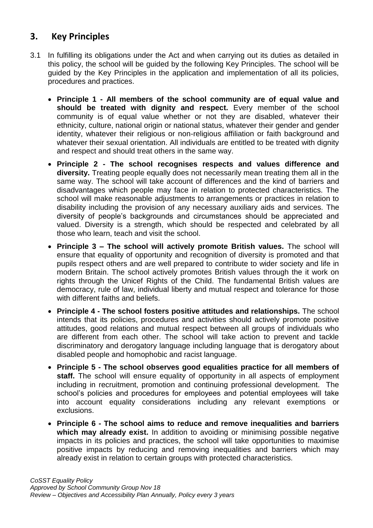# <span id="page-2-0"></span>**3. Key Principles**

- 3.1 In fulfilling its obligations under the Act and when carrying out its duties as detailed in this policy, the school will be guided by the following Key Principles. The school will be guided by the Key Principles in the application and implementation of all its policies, procedures and practices.
	- **Principle 1 - All members of the school community are of equal value and should be treated with dignity and respect.** Every member of the school community is of equal value whether or not they are disabled, whatever their ethnicity, culture, national origin or national status, whatever their gender and gender identity, whatever their religious or non-religious affiliation or faith background and whatever their sexual orientation. All individuals are entitled to be treated with dignity and respect and should treat others in the same way.
	- **Principle 2 - The school recognises respects and values difference and diversity.** Treating people equally does not necessarily mean treating them all in the same way. The school will take account of differences and the kind of barriers and disadvantages which people may face in relation to protected characteristics. The school will make reasonable adjustments to arrangements or practices in relation to disability including the provision of any necessary auxiliary aids and services. The diversity of people's backgrounds and circumstances should be appreciated and valued. Diversity is a strength, which should be respected and celebrated by all those who learn, teach and visit the school.
	- **Principle 3 – The school will actively promote British values.** The school will ensure that equality of opportunity and recognition of diversity is promoted and that pupils respect others and are well prepared to contribute to wider society and life in modern Britain. The school actively promotes British values through the it work on rights through the Unicef Rights of the Child. The fundamental British values are democracy, rule of law, individual liberty and mutual respect and tolerance for those with different faiths and beliefs.
	- **Principle 4 - The school fosters positive attitudes and relationships.** The school intends that its policies, procedures and activities should actively promote positive attitudes, good relations and mutual respect between all groups of individuals who are different from each other. The school will take action to prevent and tackle discriminatory and derogatory language including language that is derogatory about disabled people and homophobic and racist language.
	- **Principle 5 - The school observes good equalities practice for all members of staff.** The school will ensure equality of opportunity in all aspects of employment including in recruitment, promotion and continuing professional development. The school's policies and procedures for employees and potential employees will take into account equality considerations including any relevant exemptions or exclusions.
	- **Principle 6 - The school aims to reduce and remove inequalities and barriers**  which may already exist. In addition to avoiding or minimising possible negative impacts in its policies and practices, the school will take opportunities to maximise positive impacts by reducing and removing inequalities and barriers which may already exist in relation to certain groups with protected characteristics.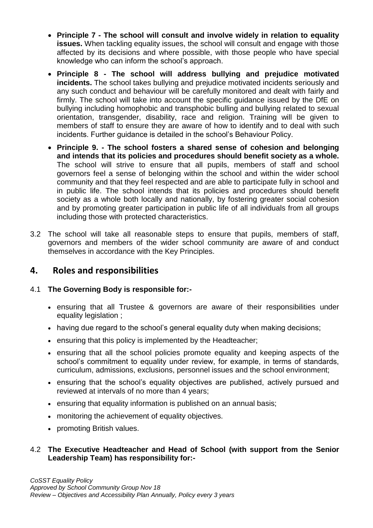- **Principle 7 - The school will consult and involve widely in relation to equality issues.** When tackling equality issues, the school will consult and engage with those affected by its decisions and where possible, with those people who have special knowledge who can inform the school's approach.
- **Principle 8 - The school will address bullying and prejudice motivated incidents.** The school takes bullying and prejudice motivated incidents seriously and any such conduct and behaviour will be carefully monitored and dealt with fairly and firmly. The school will take into account the specific guidance issued by the DfE on bullying including homophobic and transphobic bulling and bullying related to sexual orientation, transgender, disability, race and religion. Training will be given to members of staff to ensure they are aware of how to identify and to deal with such incidents. Further guidance is detailed in the school's Behaviour Policy.
- **Principle 9. - The school fosters a shared sense of cohesion and belonging and intends that its policies and procedures should benefit society as a whole.** The school will strive to ensure that all pupils, members of staff and school governors feel a sense of belonging within the school and within the wider school community and that they feel respected and are able to participate fully in school and in public life. The school intends that its policies and procedures should benefit society as a whole both locally and nationally, by fostering greater social cohesion and by promoting greater participation in public life of all individuals from all groups including those with protected characteristics.
- 3.2 The school will take all reasonable steps to ensure that pupils, members of staff, governors and members of the wider school community are aware of and conduct themselves in accordance with the Key Principles.

## <span id="page-3-0"></span>**4. Roles and responsibilities**

### 4.1 **The Governing Body is responsible for:-**

- ensuring that all Trustee & governors are aware of their responsibilities under equality legislation ;
- having due regard to the school's general equality duty when making decisions;
- ensuring that this policy is implemented by the Headteacher;
- ensuring that all the school policies promote equality and keeping aspects of the school's commitment to equality under review, for example, in terms of standards, curriculum, admissions, exclusions, personnel issues and the school environment;
- ensuring that the school's equality objectives are published, actively pursued and reviewed at intervals of no more than 4 years;
- ensuring that equality information is published on an annual basis;
- monitoring the achievement of equality objectives.
- promoting British values.

### 4.2 **The Executive Headteacher and Head of School (with support from the Senior Leadership Team) has responsibility for:-**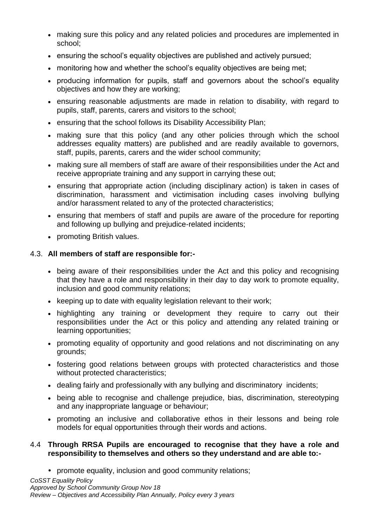- making sure this policy and any related policies and procedures are implemented in school;
- ensuring the school's equality objectives are published and actively pursued;
- monitoring how and whether the school's equality objectives are being met;
- producing information for pupils, staff and governors about the school's equality objectives and how they are working;
- ensuring reasonable adjustments are made in relation to disability, with regard to pupils, staff, parents, carers and visitors to the school;
- ensuring that the school follows its Disability Accessibility Plan;
- making sure that this policy (and any other policies through which the school addresses equality matters) are published and are readily available to governors, staff, pupils, parents, carers and the wider school community;
- making sure all members of staff are aware of their responsibilities under the Act and receive appropriate training and any support in carrying these out;
- ensuring that appropriate action (including disciplinary action) is taken in cases of discrimination, harassment and victimisation including cases involving bullying and/or harassment related to any of the protected characteristics;
- ensuring that members of staff and pupils are aware of the procedure for reporting and following up bullying and prejudice-related incidents;
- promoting British values.

### 4.3. **All members of staff are responsible for:-**

- being aware of their responsibilities under the Act and this policy and recognising that they have a role and responsibility in their day to day work to promote equality, inclusion and good community relations;
- $\bullet$  keeping up to date with equality legislation relevant to their work;
- highlighting any training or development they require to carry out their responsibilities under the Act or this policy and attending any related training or learning opportunities;
- promoting equality of opportunity and good relations and not discriminating on any grounds;
- fostering good relations between groups with protected characteristics and those without protected characteristics;
- dealing fairly and professionally with any bullying and discriminatory incidents;
- being able to recognise and challenge prejudice, bias, discrimination, stereotyping and any inappropriate language or behaviour;
- promoting an inclusive and collaborative ethos in their lessons and being role models for equal opportunities through their words and actions.

### 4.4 **Through RRSA Pupils are encouraged to recognise that they have a role and responsibility to themselves and others so they understand and are able to:-**

promote equality, inclusion and good community relations;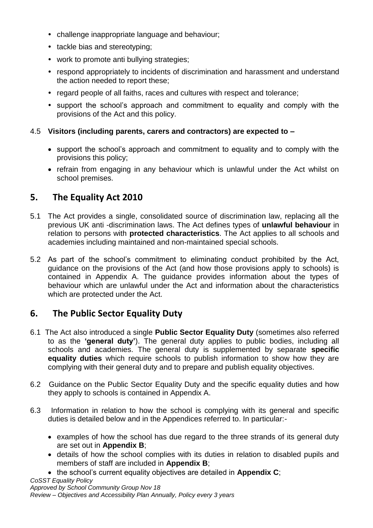- challenge inappropriate language and behaviour;
- tackle bias and stereotyping:
- work to promote anti bullying strategies;
- respond appropriately to incidents of discrimination and harassment and understand the action needed to report these;
- regard people of all faiths, races and cultures with respect and tolerance;
- support the school's approach and commitment to equality and comply with the provisions of the Act and this policy.

### 4.5 **Visitors (including parents, carers and contractors) are expected to –**

- support the school's approach and commitment to equality and to comply with the provisions this policy;
- refrain from engaging in any behaviour which is unlawful under the Act whilst on school premises.

# <span id="page-5-0"></span>**5. The Equality Act 2010**

- 5.1 The Act provides a single, consolidated source of discrimination law, replacing all the previous UK anti -discrimination laws. The Act defines types of **unlawful behaviour** in relation to persons with **protected characteristics**. The Act applies to all schools and academies including maintained and non-maintained special schools.
- 5.2 As part of the school's commitment to eliminating conduct prohibited by the Act, guidance on the provisions of the Act (and how those provisions apply to schools) is contained in Appendix A. The guidance provides information about the types of behaviour which are unlawful under the Act and information about the characteristics which are protected under the Act.

# <span id="page-5-1"></span>**6. The Public Sector Equality Duty**

- 6.1 The Act also introduced a single **Public Sector Equality Duty** (sometimes also referred to as the **'general duty'**). The general duty applies to public bodies, including all schools and academies. The general duty is supplemented by separate **specific equality duties** which require schools to publish information to show how they are complying with their general duty and to prepare and publish equality objectives.
- 6.2 Guidance on the Public Sector Equality Duty and the specific equality duties and how they apply to schools is contained in Appendix A.
- 6.3 Information in relation to how the school is complying with its general and specific duties is detailed below and in the Appendices referred to. In particular:
	- examples of how the school has due regard to the three strands of its general duty are set out in **Appendix B**;
	- details of how the school complies with its duties in relation to disabled pupils and members of staff are included in **Appendix B**;
	- the school's current equality objectives are detailed in **Appendix C**;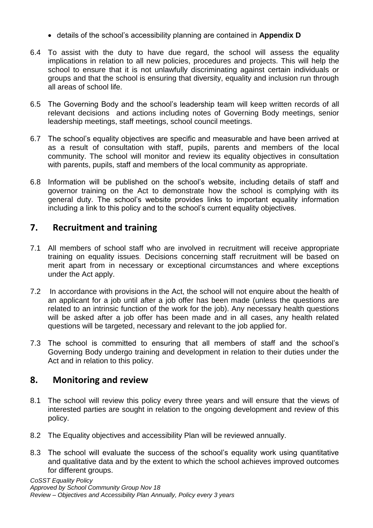- details of the school's accessibility planning are contained in **Appendix D**
- 6.4 To assist with the duty to have due regard, the school will assess the equality implications in relation to all new policies, procedures and projects. This will help the school to ensure that it is not unlawfully discriminating against certain individuals or groups and that the school is ensuring that diversity, equality and inclusion run through all areas of school life.
- 6.5 The Governing Body and the school's leadership team will keep written records of all relevant decisions and actions including notes of Governing Body meetings, senior leadership meetings, staff meetings, school council meetings.
- 6.7 The school's equality objectives are specific and measurable and have been arrived at as a result of consultation with staff, pupils, parents and members of the local community. The school will monitor and review its equality objectives in consultation with parents, pupils, staff and members of the local community as appropriate.
- 6.8 Information will be published on the school's website, including details of staff and governor training on the Act to demonstrate how the school is complying with its general duty. The school's website provides links to important equality information including a link to this policy and to the school's current equality objectives.

# <span id="page-6-0"></span>**7. Recruitment and training**

- 7.1 All members of school staff who are involved in recruitment will receive appropriate training on equality issues*.* Decisions concerning staff recruitment will be based on merit apart from in necessary or exceptional circumstances and where exceptions under the Act apply.
- 7.2 In accordance with provisions in the Act, the school will not enquire about the health of an applicant for a job until after a job offer has been made (unless the questions are related to an intrinsic function of the work for the job). Any necessary health questions will be asked after a job offer has been made and in all cases, any health related questions will be targeted, necessary and relevant to the job applied for.
- 7.3 The school is committed to ensuring that all members of staff and the school's Governing Body undergo training and development in relation to their duties under the Act and in relation to this policy.

# <span id="page-6-1"></span>**8. Monitoring and review**

- 8.1 The school will review this policy every three years and will ensure that the views of interested parties are sought in relation to the ongoing development and review of this policy.
- 8.2 The Equality objectives and accessibility Plan will be reviewed annually.
- 8.3 The school will evaluate the success of the school's equality work using quantitative and qualitative data and by the extent to which the school achieves improved outcomes for different groups.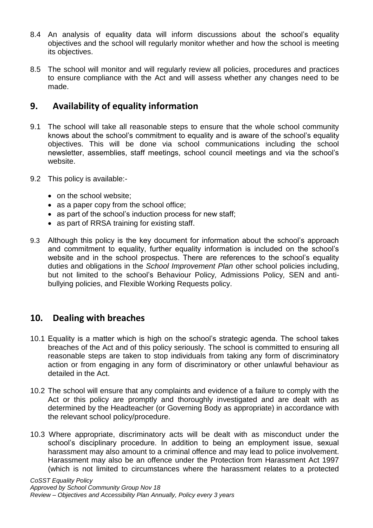- 8.4 An analysis of equality data will inform discussions about the school's equality objectives and the school will regularly monitor whether and how the school is meeting its objectives.
- 8.5 The school will monitor and will regularly review all policies, procedures and practices to ensure compliance with the Act and will assess whether any changes need to be made.

## <span id="page-7-0"></span>**9. Availability of equality information**

- 9.1 The school will take all reasonable steps to ensure that the whole school community knows about the school's commitment to equality and is aware of the school's equality objectives. This will be done via school communications including the school newsletter, assemblies, staff meetings, school council meetings and via the school's website.
- 9.2 This policy is available:-
	- on the school website;
	- as a paper copy from the school office;
	- as part of the school's induction process for new staff;
	- as part of RRSA training for existing staff.
- 9.3 Although this policy is the key document for information about the school's approach and commitment to equality, further equality information is included on the school's website and in the school prospectus. There are references to the school's equality duties and obligations in the *School Improvement Plan* other school policies including, but not limited to the school's Behaviour Policy*,* Admissions Policy*,* SEN and antibullying policies, and Flexible Working Requests policy.

## <span id="page-7-1"></span>**10. Dealing with breaches**

- 10.1 Equality is a matter which is high on the school's strategic agenda. The school takes breaches of the Act and of this policy seriously. The school is committed to ensuring all reasonable steps are taken to stop individuals from taking any form of discriminatory action or from engaging in any form of discriminatory or other unlawful behaviour as detailed in the Act.
- 10.2 The school will ensure that any complaints and evidence of a failure to comply with the Act or this policy are promptly and thoroughly investigated and are dealt with as determined by the Headteacher (or Governing Body as appropriate) in accordance with the relevant school policy/procedure.
- 10.3 Where appropriate, discriminatory acts will be dealt with as misconduct under the school's disciplinary procedure. In addition to being an employment issue, sexual harassment may also amount to a criminal offence and may lead to police involvement. Harassment may also be an offence under the Protection from Harassment Act 1997 (which is not limited to circumstances where the harassment relates to a protected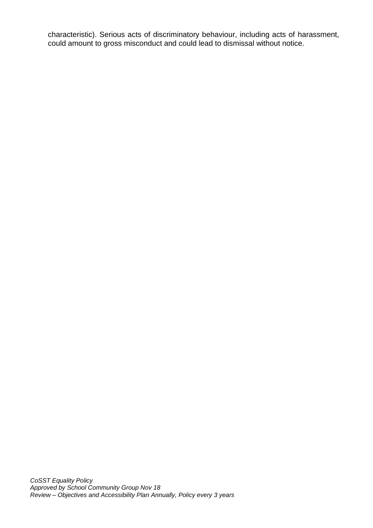characteristic). Serious acts of discriminatory behaviour, including acts of harassment, could amount to gross misconduct and could lead to dismissal without notice.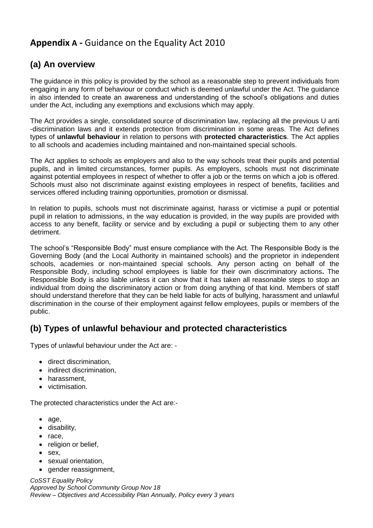# <span id="page-9-0"></span>**Appendix A -** Guidance on the Equality Act 2010

# **(a) An overview**

The guidance in this policy is provided by the school as a reasonable step to prevent individuals from engaging in any form of behaviour or conduct which is deemed unlawful under the Act. The guidance in also intended to create an awareness and understanding of the school's obligations and duties under the Act, including any exemptions and exclusions which may apply.

The Act provides a single, consolidated source of discrimination law, replacing all the previous U anti -discrimination laws and it extends protection from discrimination in some areas. The Act defines types of **unlawful behaviour** in relation to persons with **protected characteristics**. The Act applies to all schools and academies including maintained and non-maintained special schools.

The Act applies to schools as employers and also to the way schools treat their pupils and potential pupils, and in limited circumstances, former pupils. As employers, schools must not discriminate against potential employees in respect of whether to offer a job or the terms on which a job is offered. Schools must also not discriminate against existing employees in respect of benefits, facilities and services offered including training opportunities, promotion or dismissal.

In relation to pupils, schools must not discriminate against, harass or victimise a pupil or potential pupil in relation to admissions, in the way education is provided, in the way pupils are provided with access to any benefit, facility or service and by excluding a pupil or subjecting them to any other detriment.

The school's "Responsible Body" must ensure compliance with the Act. The Responsible Body is the Governing Body (and the Local Authority in maintained schools) and the proprietor in independent schools, academies or non-maintained special schools. Any person acting on behalf of the Responsible Body, including school employees is liable for their own discriminatory actions**.** The Responsible Body is also liable unless it can show that it has taken all reasonable steps to stop an individual from doing the discriminatory action or from doing anything of that kind. Members of staff should understand therefore that they can be held liable for acts of bullying, harassment and unlawful discrimination in the course of their employment against fellow employees, pupils or members of the public.

# **(b) Types of unlawful behaviour and protected characteristics**

Types of unlawful behaviour under the Act are: -

- direct discrimination,
- indirect discrimination.
- harassment.
- victimisation.

The protected characteristics under the Act are:-

- age,
- disability.
- $\bullet$  race,
- religion or belief,
- $•$  sex.
- sexual orientation,
- gender reassignment,

*CoSST Equality Policy Approved by School Community Group Nov 18 Review – Objectives and Accessibility Plan Annually, Policy every 3 years*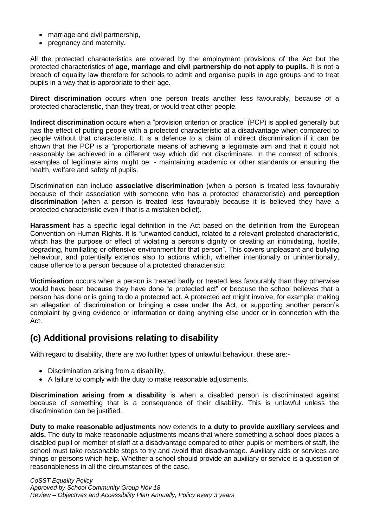- marriage and civil partnership,
- pregnancy and maternity**.**

All the protected characteristics are covered by the employment provisions of the Act but the protected characteristics of **age, marriage and civil partnership do not apply to pupils.** It is not a breach of equality law therefore for schools to admit and organise pupils in age groups and to treat pupils in a way that is appropriate to their age.

**Direct discrimination** occurs when one person treats another less favourably, because of a protected characteristic, than they treat, or would treat other people.

**Indirect discrimination** occurs when a "provision criterion or practice" (PCP) is applied generally but has the effect of putting people with a protected characteristic at a disadvantage when compared to people without that characteristic. It is a defence to a claim of indirect discrimination if it can be shown that the PCP is a "proportionate means of achieving a legitimate aim and that it could not reasonably be achieved in a different way which did not discriminate. In the context of schools, examples of legitimate aims might be: - maintaining academic or other standards or ensuring the health, welfare and safety of pupils.

Discrimination can include **associative discrimination** (when a person is treated less favourably because of their association with someone who has a protected characteristic) and **perception discrimination** (when a person is treated less favourably because it is believed they have a protected characteristic even if that is a mistaken belief).

**Harassment** has a specific legal definition in the Act based on the definition from the European Convention on Human Rights. It is "unwanted conduct, related to a relevant protected characteristic, which has the purpose or effect of violating a person's dignity or creating an intimidating, hostile, degrading, humiliating or offensive environment for that person". This covers unpleasant and bullying behaviour, and potentially extends also to actions which, whether intentionally or unintentionally, cause offence to a person because of a protected characteristic.

**Victimisation** occurs when a person is treated badly or treated less favourably than they otherwise would have been because they have done "a protected act" or because the school believes that a person has done or is going to do a protected act. A protected act might involve, for example; making an allegation of discrimination or bringing a case under the Act, or supporting another person's complaint by giving evidence or information or doing anything else under or in connection with the Act.

## **(c) Additional provisions relating to disability**

With regard to disability, there are two further types of unlawful behaviour, these are:-

- Discrimination arising from a disability,
- A failure to comply with the duty to make reasonable adjustments.

**Discrimination arising from a disability** is when a disabled person is discriminated against because of something that is a consequence of their disability. This is unlawful unless the discrimination can be justified.

**Duty to make reasonable adjustments** now extends to **a duty to provide auxiliary services and aids.** The duty to make reasonable adjustments means that where something a school does places a disabled pupil or member of staff at a disadvantage compared to other pupils or members of staff, the school must take reasonable steps to try and avoid that disadvantage. Auxiliary aids or services are things or persons which help. Whether a school should provide an auxiliary or service is a question of reasonableness in all the circumstances of the case.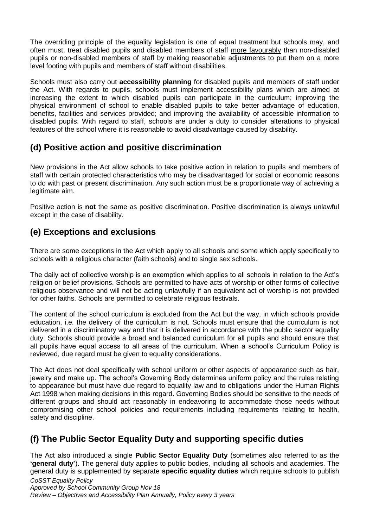The overriding principle of the equality legislation is one of equal treatment but schools may, and often must, treat disabled pupils and disabled members of staff more favourably than non-disabled pupils or non-disabled members of staff by making reasonable adjustments to put them on a more level footing with pupils and members of staff without disabilities.

Schools must also carry out **accessibility planning** for disabled pupils and members of staff under the Act. With regards to pupils, schools must implement accessibility plans which are aimed at increasing the extent to which disabled pupils can participate in the curriculum; improving the physical environment of school to enable disabled pupils to take better advantage of education, benefits, facilities and services provided; and improving the availability of accessible information to disabled pupils. With regard to staff, schools are under a duty to consider alterations to physical features of the school where it is reasonable to avoid disadvantage caused by disability.

## **(d) Positive action and positive discrimination**

New provisions in the Act allow schools to take positive action in relation to pupils and members of staff with certain protected characteristics who may be disadvantaged for social or economic reasons to do with past or present discrimination. Any such action must be a proportionate way of achieving a legitimate aim.

Positive action is **not** the same as positive discrimination. Positive discrimination is always unlawful except in the case of disability.

## **(e) Exceptions and exclusions**

There are some exceptions in the Act which apply to all schools and some which apply specifically to schools with a religious character (faith schools) and to single sex schools.

The daily act of collective worship is an exemption which applies to all schools in relation to the Act's religion or belief provisions. Schools are permitted to have acts of worship or other forms of collective religious observance and will not be acting unlawfully if an equivalent act of worship is not provided for other faiths. Schools are permitted to celebrate religious festivals.

The content of the school curriculum is excluded from the Act but the way, in which schools provide education, i.e. the delivery of the curriculum is not. Schools must ensure that the curriculum is not delivered in a discriminatory way and that it is delivered in accordance with the public sector equality duty. Schools should provide a broad and balanced curriculum for all pupils and should ensure that all pupils have equal access to all areas of the curriculum. When a school's Curriculum Policy is reviewed, due regard must be given to equality considerations.

The Act does not deal specifically with school uniform or other aspects of appearance such as hair, jewelry and make up. The school's Governing Body determines uniform policy and the rules relating to appearance but must have due regard to equality law and to obligations under the Human Rights Act 1998 when making decisions in this regard. Governing Bodies should be sensitive to the needs of different groups and should act reasonably in endeavoring to accommodate those needs without compromising other school policies and requirements including requirements relating to health, safety and discipline.

## **(f) The Public Sector Equality Duty and supporting specific duties**

*CoSST Equality Policy Approved by School Community Group Nov 18* The Act also introduced a single **Public Sector Equality Duty** (sometimes also referred to as the **'general duty'**). The general duty applies to public bodies, including all schools and academies. The general duty is supplemented by separate **specific equality duties** which require schools to publish

*Review – Objectives and Accessibility Plan Annually, Policy every 3 years*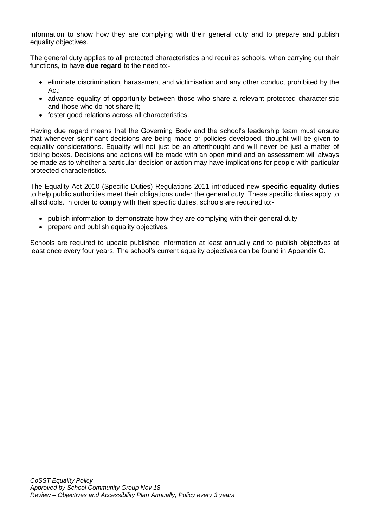information to show how they are complying with their general duty and to prepare and publish equality objectives.

The general duty applies to all protected characteristics and requires schools, when carrying out their functions, to have **due regard** to the need to:-

- eliminate discrimination, harassment and victimisation and any other conduct prohibited by the Act;
- advance equality of opportunity between those who share a relevant protected characteristic and those who do not share it;
- foster good relations across all characteristics.

Having due regard means that the Governing Body and the school's leadership team must ensure that whenever significant decisions are being made or policies developed, thought will be given to equality considerations. Equality will not just be an afterthought and will never be just a matter of ticking boxes. Decisions and actions will be made with an open mind and an assessment will always be made as to whether a particular decision or action may have implications for people with particular protected characteristics.

The Equality Act 2010 (Specific Duties) Regulations 2011 introduced new **specific equality duties** to help public authorities meet their obligations under the general duty. These specific duties apply to all schools. In order to comply with their specific duties, schools are required to:-

- publish information to demonstrate how they are complying with their general duty;
- prepare and publish equality objectives.

Schools are required to update published information at least annually and to publish objectives at least once every four years. The school's current equality objectives can be found in Appendix C.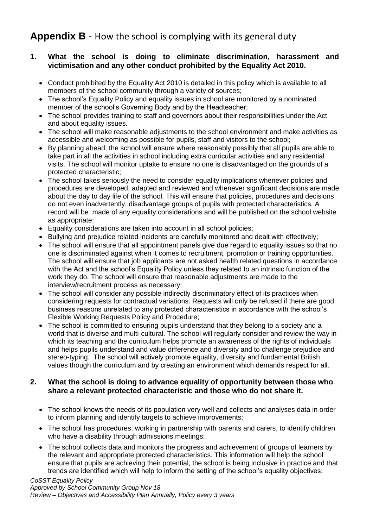# <span id="page-13-0"></span>**Appendix B** - How the school is complying with its general duty

### **1. What the school is doing to eliminate discrimination, harassment and victimisation and any other conduct prohibited by the Equality Act 2010.**

- Conduct prohibited by the Equality Act 2010 is detailed in this policy which is available to all members of the school community through a variety of sources;
- The school's Equality Policy and equality issues in school are monitored by a nominated member of the school's Governing Body and by the Headteacher;
- The school provides training to staff and governors about their responsibilities under the Act and about equality issues.
- The school will make reasonable adjustments to the school environment and make activities as accessible and welcoming as possible for pupils, staff and visitors to the school;
- By planning ahead, the school will ensure where reasonably possibly that all pupils are able to take part in all the activities in school including extra curricular activities and any residential visits. The school will monitor uptake to ensure no one is disadvantaged on the grounds of a protected characteristic;
- The school takes seriously the need to consider equality implications whenever policies and procedures are developed, adapted and reviewed and whenever significant decisions are made about the day to day life of the school. This will ensure that policies, procedures and decisions do not even inadvertently, disadvantage groups of pupils with protected characteristics. A record will be made of any equality considerations and will be published on the school website as appropriate;
- Equality considerations are taken into account in all school policies;
- Bullying and prejudice related incidents are carefully monitored and dealt with effectively;
- The school will ensure that all appointment panels give due regard to equality issues so that no one is discriminated against when it comes to recruitment, promotion or training opportunities. The school will ensure that job applicants are not asked health related questions in accordance with the Act and the school's Equality Policy unless they related to an intrinsic function of the work they do. The school will ensure that reasonable adjustments are made to the interview/recruitment process as necessary;
- The school will consider any possible indirectly discriminatory effect of its practices when considering requests for contractual variations. Requests will only be refused if there are good business reasons unrelated to any protected characteristics in accordance with the school's Flexible Working Requests Policy and Procedure;
- The school is committed to ensuring pupils understand that they belong to a society and a world that is diverse and multi-cultural. The school will regularly consider and review the way in which its teaching and the curriculum helps promote an awareness of the rights of individuals and helps pupils understand and value difference and diversity and to challenge prejudice and stereo-typing. The school will actively promote equality, diversity and fundamental British values though the curriculum and by creating an environment which demands respect for all.

### **2. What the school is doing to advance equality of opportunity between those who share a relevant protected characteristic and those who do not share it.**

- The school knows the needs of its population very well and collects and analyses data in order to inform planning and identify targets to achieve improvements;
- The school has procedures, working in partnership with parents and carers, to identify children who have a disability through admissions meetings:
- The school collects data and monitors the progress and achievement of groups of learners by the relevant and appropriate protected characteristics. This information will help the school ensure that pupils are achieving their potential, the school is being inclusive in practice and that trends are identified which will help to inform the setting of the school's equality objectives;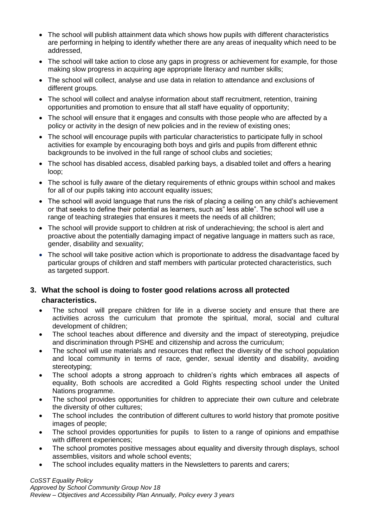- The school will publish attainment data which shows how pupils with different characteristics are performing in helping to identify whether there are any areas of inequality which need to be addressed,
- The school will take action to close any gaps in progress or achievement for example, for those making slow progress in acquiring age appropriate literacy and number skills;
- The school will collect, analyse and use data in relation to attendance and exclusions of different groups.
- The school will collect and analyse information about staff recruitment, retention, training opportunities and promotion to ensure that all staff have equality of opportunity;
- The school will ensure that it engages and consults with those people who are affected by a policy or activity in the design of new policies and in the review of existing ones;
- The school will encourage pupils with particular characteristics to participate fully in school activities for example by encouraging both boys and girls and pupils from different ethnic backgrounds to be involved in the full range of school clubs and societies;
- The school has disabled access, disabled parking bays, a disabled toilet and offers a hearing loop;
- The school is fully aware of the dietary requirements of ethnic groups within school and makes for all of our pupils taking into account equality issues;
- The school will avoid language that runs the risk of placing a ceiling on any child's achievement or that seeks to define their potential as learners, such as" less able". The school will use a range of teaching strategies that ensures it meets the needs of all children;
- The school will provide support to children at risk of underachieving; the school is alert and proactive about the potentially damaging impact of negative language in matters such as race, gender, disability and sexuality;
- The school will take positive action which is proportionate to address the disadvantage faced by particular groups of children and staff members with particular protected characteristics, such as targeted support.

### **3. What the school is doing to foster good relations across all protected characteristics.**

- The school will prepare children for life in a diverse society and ensure that there are activities across the curriculum that promote the spiritual, moral, social and cultural development of children;
- The school teaches about difference and diversity and the impact of stereotyping, prejudice and discrimination through PSHE and citizenship and across the curriculum;
- The school will use materials and resources that reflect the diversity of the school population and local community in terms of race, gender, sexual identity and disability, avoiding stereotyping;
- The school adopts a strong approach to children's rights which embraces all aspects of equality, Both schools are accredited a Gold Rights respecting school under the United Nations programme.
- The school provides opportunities for children to appreciate their own culture and celebrate the diversity of other cultures;
- The school includes the contribution of different cultures to world history that promote positive images of people;
- The school provides opportunities for pupils to listen to a range of opinions and empathise with different experiences;
- The school promotes positive messages about equality and diversity through displays, school assemblies, visitors and whole school events;
- The school includes equality matters in the Newsletters to parents and carers;

#### *CoSST Equality Policy*

*Approved by School Community Group Nov 18 Review – Objectives and Accessibility Plan Annually, Policy every 3 years*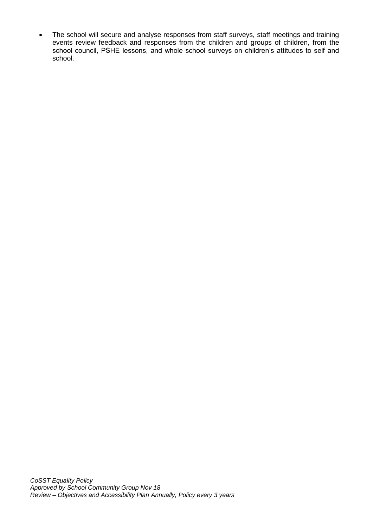<span id="page-15-0"></span>• The school will secure and analyse responses from staff surveys, staff meetings and training events review feedback and responses from the children and groups of children, from the school council, PSHE lessons, and whole school surveys on children's attitudes to self and school.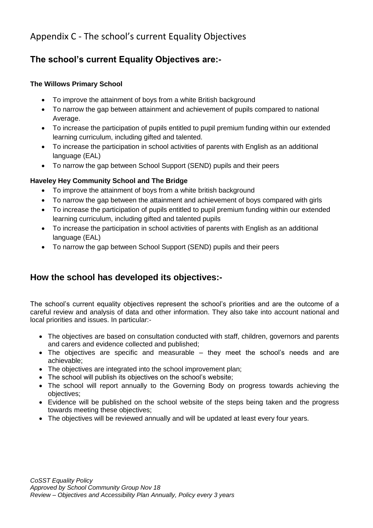# Appendix C - The school's current Equality Objectives

# **The school's current Equality Objectives are:-**

#### **The Willows Primary School**

- To improve the attainment of boys from a white British background
- To narrow the gap between attainment and achievement of pupils compared to national Average.
- To increase the participation of pupils entitled to pupil premium funding within our extended learning curriculum, including gifted and talented.
- To increase the participation in school activities of parents with English as an additional language (EAL)
- To narrow the gap between School Support (SEND) pupils and their peers

### **Haveley Hey Community School and The Bridge**

- To improve the attainment of boys from a white british background
- To narrow the gap between the attainment and achievement of boys compared with girls
- To increase the participation of pupils entitled to pupil premium funding within our extended learning curriculum, including gifted and talented pupils
- To increase the participation in school activities of parents with English as an additional language (EAL)
- To narrow the gap between School Support (SEND) pupils and their peers

## **How the school has developed its objectives:-**

The school's current equality objectives represent the school's priorities and are the outcome of a careful review and analysis of data and other information. They also take into account national and local priorities and issues. In particular:-

- The objectives are based on consultation conducted with staff, children, governors and parents and carers and evidence collected and published;
- The objectives are specific and measurable they meet the school's needs and are achievable;
- The objectives are integrated into the school improvement plan;
- The school will publish its objectives on the school's website;
- The school will report annually to the Governing Body on progress towards achieving the objectives;
- Evidence will be published on the school website of the steps being taken and the progress towards meeting these objectives;
- The objectives will be reviewed annually and will be updated at least every four years.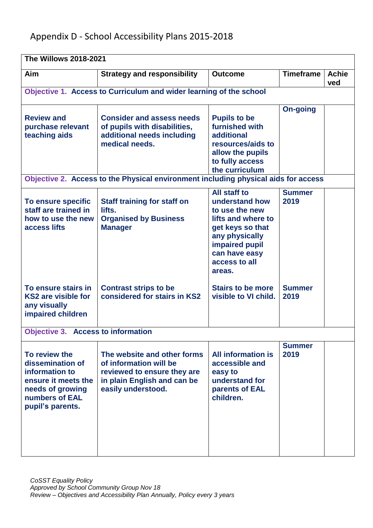# <span id="page-17-0"></span>Appendix D - School Accessibility Plans 2015-2018

| <b>The Willows 2018-2021</b>                                                                                                         |                                                                                                                                           |                                                                                                                                                                            |                       |                     |  |  |  |  |  |
|--------------------------------------------------------------------------------------------------------------------------------------|-------------------------------------------------------------------------------------------------------------------------------------------|----------------------------------------------------------------------------------------------------------------------------------------------------------------------------|-----------------------|---------------------|--|--|--|--|--|
| Aim                                                                                                                                  | <b>Strategy and responsibility</b>                                                                                                        | <b>Outcome</b>                                                                                                                                                             | <b>Timeframe</b>      | <b>Achie</b><br>ved |  |  |  |  |  |
| Objective 1. Access to Curriculum and wider learning of the school                                                                   |                                                                                                                                           |                                                                                                                                                                            |                       |                     |  |  |  |  |  |
| <b>Review and</b><br>purchase relevant<br>teaching aids                                                                              | <b>Consider and assess needs</b><br>of pupils with disabilities,<br>additional needs including<br>medical needs.                          | <b>Pupils to be</b><br>furnished with<br>additional<br>resources/aids to<br>allow the pupils<br>to fully access<br>the curriculum                                          | <b>On-going</b>       |                     |  |  |  |  |  |
|                                                                                                                                      | Objective 2. Access to the Physical environment including physical aids for access                                                        |                                                                                                                                                                            |                       |                     |  |  |  |  |  |
| To ensure specific<br>staff are trained in<br>how to use the new<br>access lifts                                                     | <b>Staff training for staff on</b><br>lifts.<br><b>Organised by Business</b><br><b>Manager</b>                                            | All staff to<br>understand how<br>to use the new<br>lifts and where to<br>get keys so that<br>any physically<br>impaired pupil<br>can have easy<br>access to all<br>areas. | <b>Summer</b><br>2019 |                     |  |  |  |  |  |
| To ensure stairs in<br><b>KS2 are visible for</b><br>any visually<br>impaired children                                               | <b>Contrast strips to be</b><br>considered for stairs in KS2                                                                              | <b>Stairs to be more</b><br>visible to VI child.                                                                                                                           | <b>Summer</b><br>2019 |                     |  |  |  |  |  |
| <b>Objective 3.</b>                                                                                                                  | <b>Access to information</b>                                                                                                              |                                                                                                                                                                            |                       |                     |  |  |  |  |  |
| To review the<br>dissemination of<br>information to<br>ensure it meets the<br>needs of growing<br>numbers of EAL<br>pupil's parents. | The website and other forms<br>of information will be<br>reviewed to ensure they are<br>in plain English and can be<br>easily understood. | <b>All information is</b><br>accessible and<br>easy to<br>understand for<br>parents of EAL<br>children.                                                                    | <b>Summer</b><br>2019 |                     |  |  |  |  |  |